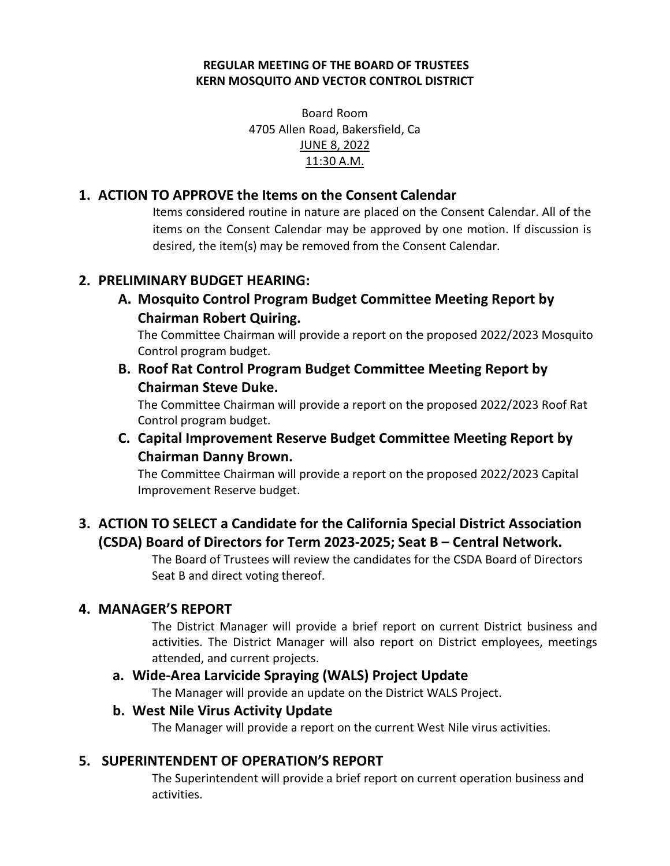#### **REGULAR MEETING OF THE BOARD OF TRUSTEES KERN MOSQUITO AND VECTOR CONTROL DISTRICT**

Board Room 4705 Allen Road, Bakersfield, Ca JUNE 8, 2022 11:30 A.M.

## **1. ACTION TO APPROVE the Items on the Consent Calendar**

Items considered routine in nature are placed on the Consent Calendar. All of the items on the Consent Calendar may be approved by one motion. If discussion is desired, the item(s) may be removed from the Consent Calendar.

# **2. PRELIMINARY BUDGET HEARING:**

**A. Mosquito Control Program Budget Committee Meeting Report by Chairman Robert Quiring.**

The Committee Chairman will provide a report on the proposed 2022/2023 Mosquito Control program budget.

**B. Roof Rat Control Program Budget Committee Meeting Report by Chairman Steve Duke.**

The Committee Chairman will provide a report on the proposed 2022/2023 Roof Rat Control program budget.

# **C. Capital Improvement Reserve Budget Committee Meeting Report by Chairman Danny Brown.**

The Committee Chairman will provide a report on the proposed 2022/2023 Capital Improvement Reserve budget.

# **3. ACTION TO SELECT a Candidate for the California Special District Association (CSDA) Board of Directors for Term 2023-2025; Seat B – Central Network.**

The Board of Trustees will review the candidates for the CSDA Board of Directors Seat B and direct voting thereof.

## **4. MANAGER'S REPORT**

The District Manager will provide a brief report on current District business and activities. The District Manager will also report on District employees, meetings attended, and current projects.

## **a. Wide-Area Larvicide Spraying (WALS) Project Update**

The Manager will provide an update on the District WALS Project.

#### **b. West Nile Virus Activity Update**

The Manager will provide a report on the current West Nile virus activities.

## **5. SUPERINTENDENT OF OPERATION'S REPORT**

The Superintendent will provide a brief report on current operation business and activities.